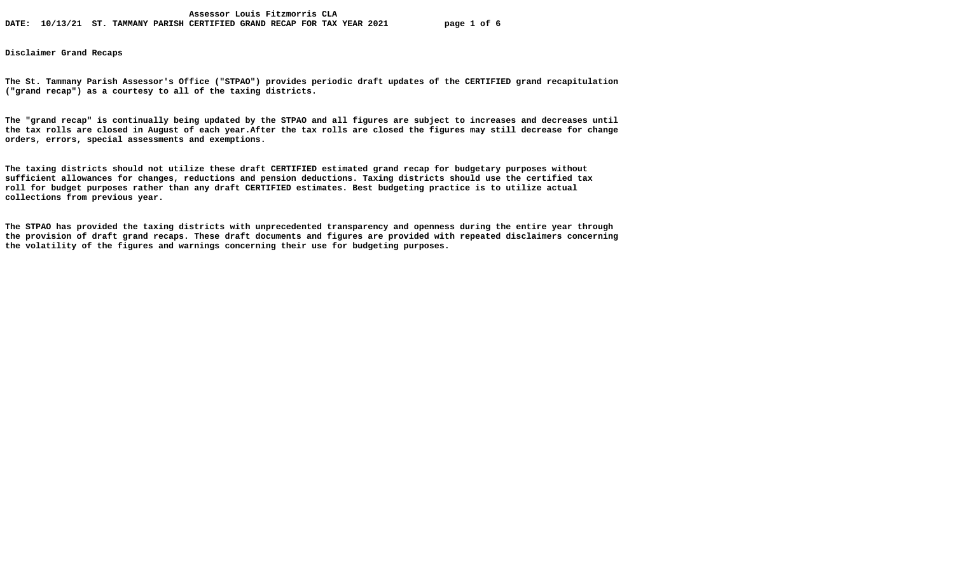**Disclaimer Grand Recaps** 

**The St. Tammany Parish Assessor's Office ("STPAO") provides periodic draft updates of the CERTIFIED grand recapitulation ("grand recap") as a courtesy to all of the taxing districts.** 

**The "grand recap" is continually being updated by the STPAO and all figures are subject to increases and decreases until the tax rolls are closed in August of each year.After the tax rolls are closed the figures may still decrease for change orders, errors, special assessments and exemptions.** 

**The taxing districts should not utilize these draft CERTIFIED estimated grand recap for budgetary purposes without sufficient allowances for changes, reductions and pension deductions. Taxing districts should use the certified tax roll for budget purposes rather than any draft CERTIFIED estimates. Best budgeting practice is to utilize actual collections from previous year.** 

**The STPAO has provided the taxing districts with unprecedented transparency and openness during the entire year through the provision of draft grand recaps. These draft documents and figures are provided with repeated disclaimers concerning the volatility of the figures and warnings concerning their use for budgeting purposes.**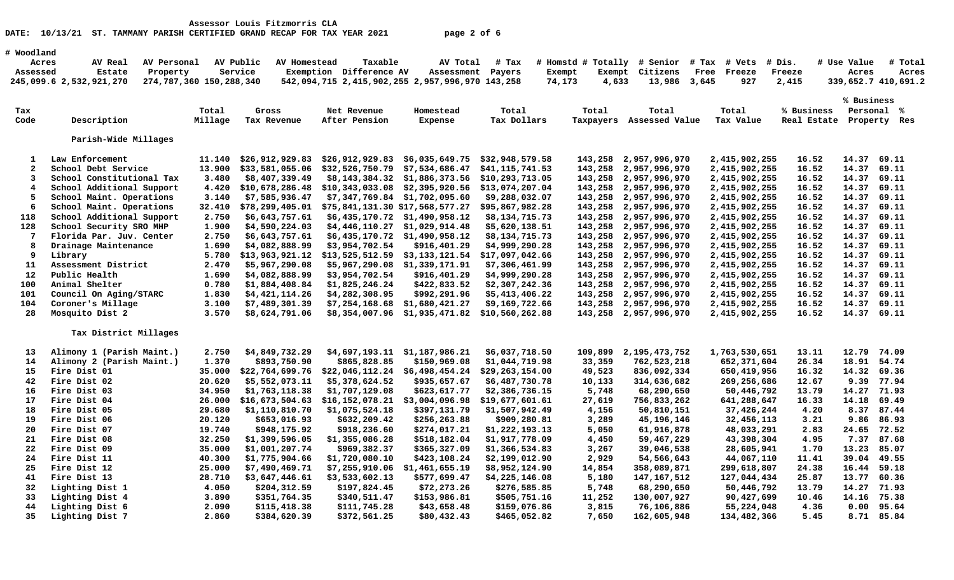| # Woodland<br>AV Public<br>Taxable<br># Tax<br># Homstd # Totally # Senior<br># Use Value<br>Acres<br>AV Real<br>AV Personal<br>AV Homestead<br>AV Total<br># Tax<br># Vets<br># Dis.<br>#<br>Service<br>Exemption Difference AV<br>Assessed<br>Estate<br>Property<br>Assessment Payers<br>Exempt<br>Exempt<br>Citizens<br>Free<br>Freeze<br>Freeze<br>Acres<br>274,787,360 150,288,340<br>245,099.6 2,532,921,270<br>542,094,715 2,415,902,255 2,957,996,970 143,258<br>74,173<br>4,633<br>13,986<br>3,645<br>927<br>2,415<br>339,652.7 410,691.2<br>% Business<br>Total<br>Total<br>Total<br>Total<br>% Business<br>Personal %<br>Tax<br>Net Revenue<br>Homestead<br>Total<br>Gross<br>Code<br>Description<br>Tax Value<br>Millage<br>Tax Revenue<br>After Pension<br>Expense<br>Tax Dollars<br>Taxpayers<br>Assessed Value<br>Real Estate Property Res<br>Parish-Wide Millages<br>Law Enforcement<br>\$26,912,929.83<br>\$26,912,929.83<br>\$6,035,649.75<br>\$32,948,579.58<br>143,258 2,957,996,970<br>2,415,902,255<br>16.52<br>14.37 69.11<br>$\mathbf{1}$<br>11.140<br>$\mathbf{2}$<br>16.52<br>69.11<br>School Debt Service<br>13.900<br>\$33,581,055.06<br>\$32,526,750.79<br>\$7,534,686.47<br>\$41,115,741.53<br>143,258<br>2,957,996,970<br>2,415,902,255<br>14.37<br>3<br>School Constitutional Tax<br>3.480<br>\$8,407,339.49<br>\$8,143,384.32<br>\$1,886,373.56<br>\$10, 293, 713.05<br>143,258 2,957,996,970<br>2,415,902,255<br>16.52<br>14.37 69.11<br>$\overline{\mathbf{4}}$<br>School Additional Support<br>\$10,678,286.48<br>\$10,343,033.08<br>\$2,395,920.56<br>\$13,074,207.04<br>143,258 2,957,996,970<br>2,415,902,255<br>16.52<br>14.37 69.11<br>4.420<br>5<br>School Maint. Operations<br>\$7,585,936.47<br>14.37 69.11<br>3.140<br>\$7,347,769.84 \$1,702,095.60<br>\$9,288,032.07<br>143,258 2,957,996,970<br>2,415,902,255<br>16.52<br>6<br>School Maint. Operations<br>32.410<br>\$78,299,405.01<br>\$75,841,131.30 \$17,568,577.27<br>\$95,867,982.28<br>143,258 2,957,996,970<br>2,415,902,255<br>16.52<br>14.37 69.11<br>School Additional Support<br>\$6,643,757.61<br>14.37 69.11<br>118<br>2.750<br>$$6,435,170.72$ $$1,490,958.12$<br>\$8,134,715.73<br>143,258 2,957,996,970<br>2,415,902,255<br>16.52<br>School Security SRO MHP<br>128<br>\$4,590,224.03<br>\$4,446,110.27<br>16.52<br>14.37 69.11<br>1.900<br>\$1,029,914.48<br>\$5,620,138.51<br>143,258 2,957,996,970<br>2,415,902,255<br>$7\phantom{.0}$<br>Florida Par. Juv. Center<br>\$6,643,757.61<br>\$1,490,958.12<br>\$8,134,715.73<br>16.52<br>14.37 69.11<br>2.750<br>\$6,435,170.72<br>143,258 2,957,996,970<br>2,415,902,255<br>8<br>Drainage Maintenance<br>14.37 69.11<br>1.690<br>\$4,082,888.99<br>\$3,954,702.54<br>\$916,401.29<br>\$4,999,290.28<br>143,258 2,957,996,970<br>2,415,902,255<br>16.52<br>Library<br>14.37 69.11<br>9<br>5.780<br>\$13,963,921.12<br>\$13,525,512.59<br>\$3,133,121.54<br>\$17,097,042.66<br>143,258 2,957,996,970<br>2,415,902,255<br>16.52<br>Assessment District<br>11<br>2.470<br>\$5,967,290.08<br>\$5,967,290.08<br>\$1,339,171.91<br>16.52<br>14.37 69.11<br>\$7,306,461.99<br>143,258 2,957,996,970<br>2,415,902,255<br>Public Health<br>12<br>1.690<br>\$4,082,888.99<br>\$3,954,702.54<br>\$916,401.29<br>\$4,999,290.28<br>143,258 2,957,996,970<br>2,415,902,255<br>16.52<br>14.37 69.11<br>Animal Shelter<br>\$1,884,408.84<br>\$1,825,246.24<br>\$422,833.52<br>\$2,307,242.36<br>14.37<br>69.11<br>100<br>0.780<br>143,258 2,957,996,970<br>2,415,902,255<br>16.52<br>Council On Aging/STARC<br>\$4,421,114.26<br>\$992,291.96<br>14.37 69.11<br>101<br>1.830<br>\$4,282,308.95<br>\$5,413,406.22<br>143,258 2,957,996,970<br>2,415,902,255<br>16.52<br>Coroner's Millage<br>69.11<br>104<br>3.100<br>\$7,489,301.39<br>\$1,680,421.27<br>\$9,169,722.66<br>143,258<br>2,957,996,970<br>16.52<br>14.37<br>\$7,254,168.68<br>2,415,902,255<br>Mosquito Dist 2<br>28<br>3.570<br>\$8,624,791.06<br>143,258 2,957,996,970<br>16.52<br>14.37 69.11<br>\$8,354,007.96<br>\$1,935,471.82<br>\$10,560,262.88<br>2,415,902,255<br>Tax District Millages<br>Alimony 1 (Parish Maint.)<br>2.750<br>\$4,849,732.29<br>\$4,697,193.11<br>\$1,187,986.21<br>\$6,037,718.50<br>109,899<br>2, 195, 473, 752<br>1,763,530,651<br>13.11<br>12.79 74.09<br>13<br>14<br>Alimony 2 (Parish Maint.)<br>1.370<br>\$893,750.90<br>\$865,828.85<br>\$150,969.08<br>\$1,044,719.98<br>33,359<br>762,523,218<br>652,371,604<br>26.34<br>18.91<br>54.74<br>15<br>Fire Dist 01<br>35.000<br>\$22,764,699.76<br>\$22,046,112.24<br>\$6,498,454.24<br>49,523<br>836,092,334<br>650,419,956<br>16.32<br>14.32 69.36<br>\$29, 263, 154.00<br>42<br>Fire Dist 02<br>20.620<br>\$5,552,073.11<br>\$5,378,624.52<br>\$935,657.67<br>314,636,682<br>9.39 77.94<br>\$6,487,730.78<br>10,133<br>269,256,686<br>12.67<br>34.950<br>14.27 71.93<br>16<br>Fire Dist 03<br>\$1,763,118.38<br>\$1,707,129.08<br>\$623,617.77<br>\$2,386,736.15<br>5,748<br>68,290,650<br>50,446,792<br>13.79<br>Fire Dist 04<br>26.000<br>\$16,673,504.63<br>\$16,152,078.21<br>\$3,004,096.98<br>27,619<br>756,833,262<br>641,288,647<br>16.33<br>14.18 69.49<br>17<br>\$19,677,601.61<br>18<br>Fire Dist 05<br>29.680<br>\$1,110,810.70<br>\$397,131.79<br>8.37 87.44<br>\$1,075,524.18<br>\$1,507,942.49<br>4,156<br>50,810,151<br>37,426,244<br>4.20<br>Fire Dist 06<br>20.120<br>\$653,016.93<br>\$632,209.42<br>\$256,263.88<br>\$909,280.81<br>45, 196, 146<br>9.86 86.93<br>19<br>3,289<br>32,456,113<br>3.21<br>Fire Dist 07<br>19.740<br>\$948,175.92<br>\$918,236.60<br>\$274,017.21<br>\$1,222,193.13<br>2.83<br>24.65 72.52<br>20<br>5,050<br>61,916,878<br>48,033,291<br>7.37 87.68<br>21<br>Fire Dist 08<br>32.250<br>\$1,399,596.05<br>\$1,355,086.28<br>\$518,182.04<br>\$1,917,778.09<br>4,450<br>59,467,229<br>43,398,304<br>4.95<br>22<br>Fire Dist 09<br>35.000<br>\$1,001,207.74<br>\$969,382.37<br>\$365,327.09<br>3,267<br>39,046,538<br>1.70<br>13.23 85.07<br>\$1,366,534.83<br>28,605,941<br>Fire Dist 11<br>\$1,775,904.66<br>39.04 49.55<br>24<br>40.300<br>\$1,720,080.10<br>\$423,108.24<br>\$2,199,012.90<br>2,929<br>54,566,643<br>44,067,110<br>11.41<br>25<br>Fire Dist 12<br>25.000<br>\$7,490,469.71<br>\$1,461,655.19<br>299,618,807<br>16.44 59.18<br>\$7,255,910.06<br>\$8,952,124.90<br>14,854<br>358,089,871<br>24.38<br>41<br>Fire Dist 13<br>28.710<br>\$3,647,446.61<br>\$3,533,602.13<br>\$577,699.47<br>\$4,225,146.08<br>5,180<br>147,167,512<br>127,044,434<br>25.87<br>13.77 60.36<br>32<br>Lighting Dist 1<br>4.050<br>\$204,312.59<br>\$197,824.45<br>\$72,273.26<br>14.27 71.93<br>\$276,585.85<br>5,748<br>68,290,650<br>50,446,792<br>13.79<br>33<br>Lighting Dist 4<br>3.890<br>\$153,986.81<br>14.16 75.38<br>\$351,764.35<br>\$340,511.47<br>\$505,751.16<br>11,252<br>130,007,927<br>90,427,699<br>10.46<br>44<br>Lighting Dist 6<br>2.090<br>\$43,658.48<br>\$159,076.86<br>3,815<br>$0.00$ 95.64<br>\$115,418.38<br>\$111,745.28<br>76,106,886<br>55,224,048<br>4.36<br>8.71 85.84 |    | DATE: 10/13/21 ST. TAMMANY PARISH CERTIFIED GRAND RECAP FOR TAX YEAR 2021 |       |              |              | page 2 of 6 |              |       |             |             |      |                |
|------------------------------------------------------------------------------------------------------------------------------------------------------------------------------------------------------------------------------------------------------------------------------------------------------------------------------------------------------------------------------------------------------------------------------------------------------------------------------------------------------------------------------------------------------------------------------------------------------------------------------------------------------------------------------------------------------------------------------------------------------------------------------------------------------------------------------------------------------------------------------------------------------------------------------------------------------------------------------------------------------------------------------------------------------------------------------------------------------------------------------------------------------------------------------------------------------------------------------------------------------------------------------------------------------------------------------------------------------------------------------------------------------------------------------------------------------------------------------------------------------------------------------------------------------------------------------------------------------------------------------------------------------------------------------------------------------------------------------------------------------------------------------------------------------------------------------------------------------------------------------------------------------------------------------------------------------------------------------------------------------------------------------------------------------------------------------------------------------------------------------------------------------------------------------------------------------------------------------------------------------------------------------------------------------------------------------------------------------------------------------------------------------------------------------------------------------------------------------------------------------------------------------------------------------------------------------------------------------------------------------------------------------------------------------------------------------------------------------------------------------------------------------------------------------------------------------------------------------------------------------------------------------------------------------------------------------------------------------------------------------------------------------------------------------------------------------------------------------------------------------------------------------------------------------------------------------------------------------------------------------------------------------------------------------------------------------------------------------------------------------------------------------------------------------------------------------------------------------------------------------------------------------------------------------------------------------------------------------------------------------------------------------------------------------------------------------------------------------------------------------------------------------------------------------------------------------------------------------------------------------------------------------------------------------------------------------------------------------------------------------------------------------------------------------------------------------------------------------------------------------------------------------------------------------------------------------------------------------------------------------------------------------------------------------------------------------------------------------------------------------------------------------------------------------------------------------------------------------------------------------------------------------------------------------------------------------------------------------------------------------------------------------------------------------------------------------------------------------------------------------------------------------------------------------------------------------------------------------------------------------------------------------------------------------------------------------------------------------------------------------------------------------------------------------------------------------------------------------------------------------------------------------------------------------------------------------------------------------------------------------------------------------------------------------------------------------------------------------------------------------------------------------------------------------------------------------------------------------------------------------------------------------------------------------------------------------------------------------------------------------------------------------------------------------------------------------------------------------------------------------------------------------------------------------------------------------------------------------------------------------------------------------------------------------------------------------------------------------------------------------------------------------------------------------------------------------------------------------------------------------------------------------------------------------------------------------------------------------------------------------------------------------------------------------------------------------------------------------------------------------------------------------------------------------------------------------------------------------------------------------------------------------------------------------------------------------------------------------------------------------------------------------------------------------------------------------------------------------------------------------------------------------------------------------------------------------------------------------------------------------------------------------------------------------------------------------------------------------------------------------------------------------------------------------|----|---------------------------------------------------------------------------|-------|--------------|--------------|-------------|--------------|-------|-------------|-------------|------|----------------|
|                                                                                                                                                                                                                                                                                                                                                                                                                                                                                                                                                                                                                                                                                                                                                                                                                                                                                                                                                                                                                                                                                                                                                                                                                                                                                                                                                                                                                                                                                                                                                                                                                                                                                                                                                                                                                                                                                                                                                                                                                                                                                                                                                                                                                                                                                                                                                                                                                                                                                                                                                                                                                                                                                                                                                                                                                                                                                                                                                                                                                                                                                                                                                                                                                                                                                                                                                                                                                                                                                                                                                                                                                                                                                                                                                                                                                                                                                                                                                                                                                                                                                                                                                                                                                                                                                                                                                                                                                                                                                                                                                                                                                                                                                                                                                                                                                                                                                                                                                                                                                                                                                                                                                                                                                                                                                                                                                                                                                                                                                                                                                                                                                                                                                                                                                                                                                                                                                                                                                                                                                                                                                                                                                                                                                                                                                                                                                                                                                                                                                                                                                                                                                                                                                                                                                                                                                                                                                                                                                                                                                                                      |    |                                                                           |       |              |              |             |              |       |             |             |      | Total<br>Acres |
|                                                                                                                                                                                                                                                                                                                                                                                                                                                                                                                                                                                                                                                                                                                                                                                                                                                                                                                                                                                                                                                                                                                                                                                                                                                                                                                                                                                                                                                                                                                                                                                                                                                                                                                                                                                                                                                                                                                                                                                                                                                                                                                                                                                                                                                                                                                                                                                                                                                                                                                                                                                                                                                                                                                                                                                                                                                                                                                                                                                                                                                                                                                                                                                                                                                                                                                                                                                                                                                                                                                                                                                                                                                                                                                                                                                                                                                                                                                                                                                                                                                                                                                                                                                                                                                                                                                                                                                                                                                                                                                                                                                                                                                                                                                                                                                                                                                                                                                                                                                                                                                                                                                                                                                                                                                                                                                                                                                                                                                                                                                                                                                                                                                                                                                                                                                                                                                                                                                                                                                                                                                                                                                                                                                                                                                                                                                                                                                                                                                                                                                                                                                                                                                                                                                                                                                                                                                                                                                                                                                                                                                      |    |                                                                           |       |              |              |             |              |       |             |             |      |                |
|                                                                                                                                                                                                                                                                                                                                                                                                                                                                                                                                                                                                                                                                                                                                                                                                                                                                                                                                                                                                                                                                                                                                                                                                                                                                                                                                                                                                                                                                                                                                                                                                                                                                                                                                                                                                                                                                                                                                                                                                                                                                                                                                                                                                                                                                                                                                                                                                                                                                                                                                                                                                                                                                                                                                                                                                                                                                                                                                                                                                                                                                                                                                                                                                                                                                                                                                                                                                                                                                                                                                                                                                                                                                                                                                                                                                                                                                                                                                                                                                                                                                                                                                                                                                                                                                                                                                                                                                                                                                                                                                                                                                                                                                                                                                                                                                                                                                                                                                                                                                                                                                                                                                                                                                                                                                                                                                                                                                                                                                                                                                                                                                                                                                                                                                                                                                                                                                                                                                                                                                                                                                                                                                                                                                                                                                                                                                                                                                                                                                                                                                                                                                                                                                                                                                                                                                                                                                                                                                                                                                                                                      |    |                                                                           |       |              |              |             |              |       |             |             |      |                |
|                                                                                                                                                                                                                                                                                                                                                                                                                                                                                                                                                                                                                                                                                                                                                                                                                                                                                                                                                                                                                                                                                                                                                                                                                                                                                                                                                                                                                                                                                                                                                                                                                                                                                                                                                                                                                                                                                                                                                                                                                                                                                                                                                                                                                                                                                                                                                                                                                                                                                                                                                                                                                                                                                                                                                                                                                                                                                                                                                                                                                                                                                                                                                                                                                                                                                                                                                                                                                                                                                                                                                                                                                                                                                                                                                                                                                                                                                                                                                                                                                                                                                                                                                                                                                                                                                                                                                                                                                                                                                                                                                                                                                                                                                                                                                                                                                                                                                                                                                                                                                                                                                                                                                                                                                                                                                                                                                                                                                                                                                                                                                                                                                                                                                                                                                                                                                                                                                                                                                                                                                                                                                                                                                                                                                                                                                                                                                                                                                                                                                                                                                                                                                                                                                                                                                                                                                                                                                                                                                                                                                                                      |    |                                                                           |       |              |              |             |              |       |             |             |      |                |
|                                                                                                                                                                                                                                                                                                                                                                                                                                                                                                                                                                                                                                                                                                                                                                                                                                                                                                                                                                                                                                                                                                                                                                                                                                                                                                                                                                                                                                                                                                                                                                                                                                                                                                                                                                                                                                                                                                                                                                                                                                                                                                                                                                                                                                                                                                                                                                                                                                                                                                                                                                                                                                                                                                                                                                                                                                                                                                                                                                                                                                                                                                                                                                                                                                                                                                                                                                                                                                                                                                                                                                                                                                                                                                                                                                                                                                                                                                                                                                                                                                                                                                                                                                                                                                                                                                                                                                                                                                                                                                                                                                                                                                                                                                                                                                                                                                                                                                                                                                                                                                                                                                                                                                                                                                                                                                                                                                                                                                                                                                                                                                                                                                                                                                                                                                                                                                                                                                                                                                                                                                                                                                                                                                                                                                                                                                                                                                                                                                                                                                                                                                                                                                                                                                                                                                                                                                                                                                                                                                                                                                                      |    |                                                                           |       |              |              |             |              |       |             |             |      |                |
|                                                                                                                                                                                                                                                                                                                                                                                                                                                                                                                                                                                                                                                                                                                                                                                                                                                                                                                                                                                                                                                                                                                                                                                                                                                                                                                                                                                                                                                                                                                                                                                                                                                                                                                                                                                                                                                                                                                                                                                                                                                                                                                                                                                                                                                                                                                                                                                                                                                                                                                                                                                                                                                                                                                                                                                                                                                                                                                                                                                                                                                                                                                                                                                                                                                                                                                                                                                                                                                                                                                                                                                                                                                                                                                                                                                                                                                                                                                                                                                                                                                                                                                                                                                                                                                                                                                                                                                                                                                                                                                                                                                                                                                                                                                                                                                                                                                                                                                                                                                                                                                                                                                                                                                                                                                                                                                                                                                                                                                                                                                                                                                                                                                                                                                                                                                                                                                                                                                                                                                                                                                                                                                                                                                                                                                                                                                                                                                                                                                                                                                                                                                                                                                                                                                                                                                                                                                                                                                                                                                                                                                      |    |                                                                           |       |              |              |             |              |       |             |             |      |                |
|                                                                                                                                                                                                                                                                                                                                                                                                                                                                                                                                                                                                                                                                                                                                                                                                                                                                                                                                                                                                                                                                                                                                                                                                                                                                                                                                                                                                                                                                                                                                                                                                                                                                                                                                                                                                                                                                                                                                                                                                                                                                                                                                                                                                                                                                                                                                                                                                                                                                                                                                                                                                                                                                                                                                                                                                                                                                                                                                                                                                                                                                                                                                                                                                                                                                                                                                                                                                                                                                                                                                                                                                                                                                                                                                                                                                                                                                                                                                                                                                                                                                                                                                                                                                                                                                                                                                                                                                                                                                                                                                                                                                                                                                                                                                                                                                                                                                                                                                                                                                                                                                                                                                                                                                                                                                                                                                                                                                                                                                                                                                                                                                                                                                                                                                                                                                                                                                                                                                                                                                                                                                                                                                                                                                                                                                                                                                                                                                                                                                                                                                                                                                                                                                                                                                                                                                                                                                                                                                                                                                                                                      |    |                                                                           |       |              |              |             |              |       |             |             |      |                |
|                                                                                                                                                                                                                                                                                                                                                                                                                                                                                                                                                                                                                                                                                                                                                                                                                                                                                                                                                                                                                                                                                                                                                                                                                                                                                                                                                                                                                                                                                                                                                                                                                                                                                                                                                                                                                                                                                                                                                                                                                                                                                                                                                                                                                                                                                                                                                                                                                                                                                                                                                                                                                                                                                                                                                                                                                                                                                                                                                                                                                                                                                                                                                                                                                                                                                                                                                                                                                                                                                                                                                                                                                                                                                                                                                                                                                                                                                                                                                                                                                                                                                                                                                                                                                                                                                                                                                                                                                                                                                                                                                                                                                                                                                                                                                                                                                                                                                                                                                                                                                                                                                                                                                                                                                                                                                                                                                                                                                                                                                                                                                                                                                                                                                                                                                                                                                                                                                                                                                                                                                                                                                                                                                                                                                                                                                                                                                                                                                                                                                                                                                                                                                                                                                                                                                                                                                                                                                                                                                                                                                                                      |    |                                                                           |       |              |              |             |              |       |             |             |      |                |
|                                                                                                                                                                                                                                                                                                                                                                                                                                                                                                                                                                                                                                                                                                                                                                                                                                                                                                                                                                                                                                                                                                                                                                                                                                                                                                                                                                                                                                                                                                                                                                                                                                                                                                                                                                                                                                                                                                                                                                                                                                                                                                                                                                                                                                                                                                                                                                                                                                                                                                                                                                                                                                                                                                                                                                                                                                                                                                                                                                                                                                                                                                                                                                                                                                                                                                                                                                                                                                                                                                                                                                                                                                                                                                                                                                                                                                                                                                                                                                                                                                                                                                                                                                                                                                                                                                                                                                                                                                                                                                                                                                                                                                                                                                                                                                                                                                                                                                                                                                                                                                                                                                                                                                                                                                                                                                                                                                                                                                                                                                                                                                                                                                                                                                                                                                                                                                                                                                                                                                                                                                                                                                                                                                                                                                                                                                                                                                                                                                                                                                                                                                                                                                                                                                                                                                                                                                                                                                                                                                                                                                                      |    |                                                                           |       |              |              |             |              |       |             |             |      |                |
|                                                                                                                                                                                                                                                                                                                                                                                                                                                                                                                                                                                                                                                                                                                                                                                                                                                                                                                                                                                                                                                                                                                                                                                                                                                                                                                                                                                                                                                                                                                                                                                                                                                                                                                                                                                                                                                                                                                                                                                                                                                                                                                                                                                                                                                                                                                                                                                                                                                                                                                                                                                                                                                                                                                                                                                                                                                                                                                                                                                                                                                                                                                                                                                                                                                                                                                                                                                                                                                                                                                                                                                                                                                                                                                                                                                                                                                                                                                                                                                                                                                                                                                                                                                                                                                                                                                                                                                                                                                                                                                                                                                                                                                                                                                                                                                                                                                                                                                                                                                                                                                                                                                                                                                                                                                                                                                                                                                                                                                                                                                                                                                                                                                                                                                                                                                                                                                                                                                                                                                                                                                                                                                                                                                                                                                                                                                                                                                                                                                                                                                                                                                                                                                                                                                                                                                                                                                                                                                                                                                                                                                      |    |                                                                           |       |              |              |             |              |       |             |             |      |                |
|                                                                                                                                                                                                                                                                                                                                                                                                                                                                                                                                                                                                                                                                                                                                                                                                                                                                                                                                                                                                                                                                                                                                                                                                                                                                                                                                                                                                                                                                                                                                                                                                                                                                                                                                                                                                                                                                                                                                                                                                                                                                                                                                                                                                                                                                                                                                                                                                                                                                                                                                                                                                                                                                                                                                                                                                                                                                                                                                                                                                                                                                                                                                                                                                                                                                                                                                                                                                                                                                                                                                                                                                                                                                                                                                                                                                                                                                                                                                                                                                                                                                                                                                                                                                                                                                                                                                                                                                                                                                                                                                                                                                                                                                                                                                                                                                                                                                                                                                                                                                                                                                                                                                                                                                                                                                                                                                                                                                                                                                                                                                                                                                                                                                                                                                                                                                                                                                                                                                                                                                                                                                                                                                                                                                                                                                                                                                                                                                                                                                                                                                                                                                                                                                                                                                                                                                                                                                                                                                                                                                                                                      |    |                                                                           |       |              |              |             |              |       |             |             |      |                |
|                                                                                                                                                                                                                                                                                                                                                                                                                                                                                                                                                                                                                                                                                                                                                                                                                                                                                                                                                                                                                                                                                                                                                                                                                                                                                                                                                                                                                                                                                                                                                                                                                                                                                                                                                                                                                                                                                                                                                                                                                                                                                                                                                                                                                                                                                                                                                                                                                                                                                                                                                                                                                                                                                                                                                                                                                                                                                                                                                                                                                                                                                                                                                                                                                                                                                                                                                                                                                                                                                                                                                                                                                                                                                                                                                                                                                                                                                                                                                                                                                                                                                                                                                                                                                                                                                                                                                                                                                                                                                                                                                                                                                                                                                                                                                                                                                                                                                                                                                                                                                                                                                                                                                                                                                                                                                                                                                                                                                                                                                                                                                                                                                                                                                                                                                                                                                                                                                                                                                                                                                                                                                                                                                                                                                                                                                                                                                                                                                                                                                                                                                                                                                                                                                                                                                                                                                                                                                                                                                                                                                                                      |    |                                                                           |       |              |              |             |              |       |             |             |      |                |
|                                                                                                                                                                                                                                                                                                                                                                                                                                                                                                                                                                                                                                                                                                                                                                                                                                                                                                                                                                                                                                                                                                                                                                                                                                                                                                                                                                                                                                                                                                                                                                                                                                                                                                                                                                                                                                                                                                                                                                                                                                                                                                                                                                                                                                                                                                                                                                                                                                                                                                                                                                                                                                                                                                                                                                                                                                                                                                                                                                                                                                                                                                                                                                                                                                                                                                                                                                                                                                                                                                                                                                                                                                                                                                                                                                                                                                                                                                                                                                                                                                                                                                                                                                                                                                                                                                                                                                                                                                                                                                                                                                                                                                                                                                                                                                                                                                                                                                                                                                                                                                                                                                                                                                                                                                                                                                                                                                                                                                                                                                                                                                                                                                                                                                                                                                                                                                                                                                                                                                                                                                                                                                                                                                                                                                                                                                                                                                                                                                                                                                                                                                                                                                                                                                                                                                                                                                                                                                                                                                                                                                                      |    |                                                                           |       |              |              |             |              |       |             |             |      |                |
|                                                                                                                                                                                                                                                                                                                                                                                                                                                                                                                                                                                                                                                                                                                                                                                                                                                                                                                                                                                                                                                                                                                                                                                                                                                                                                                                                                                                                                                                                                                                                                                                                                                                                                                                                                                                                                                                                                                                                                                                                                                                                                                                                                                                                                                                                                                                                                                                                                                                                                                                                                                                                                                                                                                                                                                                                                                                                                                                                                                                                                                                                                                                                                                                                                                                                                                                                                                                                                                                                                                                                                                                                                                                                                                                                                                                                                                                                                                                                                                                                                                                                                                                                                                                                                                                                                                                                                                                                                                                                                                                                                                                                                                                                                                                                                                                                                                                                                                                                                                                                                                                                                                                                                                                                                                                                                                                                                                                                                                                                                                                                                                                                                                                                                                                                                                                                                                                                                                                                                                                                                                                                                                                                                                                                                                                                                                                                                                                                                                                                                                                                                                                                                                                                                                                                                                                                                                                                                                                                                                                                                                      |    |                                                                           |       |              |              |             |              |       |             |             |      |                |
|                                                                                                                                                                                                                                                                                                                                                                                                                                                                                                                                                                                                                                                                                                                                                                                                                                                                                                                                                                                                                                                                                                                                                                                                                                                                                                                                                                                                                                                                                                                                                                                                                                                                                                                                                                                                                                                                                                                                                                                                                                                                                                                                                                                                                                                                                                                                                                                                                                                                                                                                                                                                                                                                                                                                                                                                                                                                                                                                                                                                                                                                                                                                                                                                                                                                                                                                                                                                                                                                                                                                                                                                                                                                                                                                                                                                                                                                                                                                                                                                                                                                                                                                                                                                                                                                                                                                                                                                                                                                                                                                                                                                                                                                                                                                                                                                                                                                                                                                                                                                                                                                                                                                                                                                                                                                                                                                                                                                                                                                                                                                                                                                                                                                                                                                                                                                                                                                                                                                                                                                                                                                                                                                                                                                                                                                                                                                                                                                                                                                                                                                                                                                                                                                                                                                                                                                                                                                                                                                                                                                                                                      |    |                                                                           |       |              |              |             |              |       |             |             |      |                |
|                                                                                                                                                                                                                                                                                                                                                                                                                                                                                                                                                                                                                                                                                                                                                                                                                                                                                                                                                                                                                                                                                                                                                                                                                                                                                                                                                                                                                                                                                                                                                                                                                                                                                                                                                                                                                                                                                                                                                                                                                                                                                                                                                                                                                                                                                                                                                                                                                                                                                                                                                                                                                                                                                                                                                                                                                                                                                                                                                                                                                                                                                                                                                                                                                                                                                                                                                                                                                                                                                                                                                                                                                                                                                                                                                                                                                                                                                                                                                                                                                                                                                                                                                                                                                                                                                                                                                                                                                                                                                                                                                                                                                                                                                                                                                                                                                                                                                                                                                                                                                                                                                                                                                                                                                                                                                                                                                                                                                                                                                                                                                                                                                                                                                                                                                                                                                                                                                                                                                                                                                                                                                                                                                                                                                                                                                                                                                                                                                                                                                                                                                                                                                                                                                                                                                                                                                                                                                                                                                                                                                                                      |    |                                                                           |       |              |              |             |              |       |             |             |      |                |
|                                                                                                                                                                                                                                                                                                                                                                                                                                                                                                                                                                                                                                                                                                                                                                                                                                                                                                                                                                                                                                                                                                                                                                                                                                                                                                                                                                                                                                                                                                                                                                                                                                                                                                                                                                                                                                                                                                                                                                                                                                                                                                                                                                                                                                                                                                                                                                                                                                                                                                                                                                                                                                                                                                                                                                                                                                                                                                                                                                                                                                                                                                                                                                                                                                                                                                                                                                                                                                                                                                                                                                                                                                                                                                                                                                                                                                                                                                                                                                                                                                                                                                                                                                                                                                                                                                                                                                                                                                                                                                                                                                                                                                                                                                                                                                                                                                                                                                                                                                                                                                                                                                                                                                                                                                                                                                                                                                                                                                                                                                                                                                                                                                                                                                                                                                                                                                                                                                                                                                                                                                                                                                                                                                                                                                                                                                                                                                                                                                                                                                                                                                                                                                                                                                                                                                                                                                                                                                                                                                                                                                                      |    |                                                                           |       |              |              |             |              |       |             |             |      |                |
|                                                                                                                                                                                                                                                                                                                                                                                                                                                                                                                                                                                                                                                                                                                                                                                                                                                                                                                                                                                                                                                                                                                                                                                                                                                                                                                                                                                                                                                                                                                                                                                                                                                                                                                                                                                                                                                                                                                                                                                                                                                                                                                                                                                                                                                                                                                                                                                                                                                                                                                                                                                                                                                                                                                                                                                                                                                                                                                                                                                                                                                                                                                                                                                                                                                                                                                                                                                                                                                                                                                                                                                                                                                                                                                                                                                                                                                                                                                                                                                                                                                                                                                                                                                                                                                                                                                                                                                                                                                                                                                                                                                                                                                                                                                                                                                                                                                                                                                                                                                                                                                                                                                                                                                                                                                                                                                                                                                                                                                                                                                                                                                                                                                                                                                                                                                                                                                                                                                                                                                                                                                                                                                                                                                                                                                                                                                                                                                                                                                                                                                                                                                                                                                                                                                                                                                                                                                                                                                                                                                                                                                      |    |                                                                           |       |              |              |             |              |       |             |             |      |                |
|                                                                                                                                                                                                                                                                                                                                                                                                                                                                                                                                                                                                                                                                                                                                                                                                                                                                                                                                                                                                                                                                                                                                                                                                                                                                                                                                                                                                                                                                                                                                                                                                                                                                                                                                                                                                                                                                                                                                                                                                                                                                                                                                                                                                                                                                                                                                                                                                                                                                                                                                                                                                                                                                                                                                                                                                                                                                                                                                                                                                                                                                                                                                                                                                                                                                                                                                                                                                                                                                                                                                                                                                                                                                                                                                                                                                                                                                                                                                                                                                                                                                                                                                                                                                                                                                                                                                                                                                                                                                                                                                                                                                                                                                                                                                                                                                                                                                                                                                                                                                                                                                                                                                                                                                                                                                                                                                                                                                                                                                                                                                                                                                                                                                                                                                                                                                                                                                                                                                                                                                                                                                                                                                                                                                                                                                                                                                                                                                                                                                                                                                                                                                                                                                                                                                                                                                                                                                                                                                                                                                                                                      |    |                                                                           |       |              |              |             |              |       |             |             |      |                |
|                                                                                                                                                                                                                                                                                                                                                                                                                                                                                                                                                                                                                                                                                                                                                                                                                                                                                                                                                                                                                                                                                                                                                                                                                                                                                                                                                                                                                                                                                                                                                                                                                                                                                                                                                                                                                                                                                                                                                                                                                                                                                                                                                                                                                                                                                                                                                                                                                                                                                                                                                                                                                                                                                                                                                                                                                                                                                                                                                                                                                                                                                                                                                                                                                                                                                                                                                                                                                                                                                                                                                                                                                                                                                                                                                                                                                                                                                                                                                                                                                                                                                                                                                                                                                                                                                                                                                                                                                                                                                                                                                                                                                                                                                                                                                                                                                                                                                                                                                                                                                                                                                                                                                                                                                                                                                                                                                                                                                                                                                                                                                                                                                                                                                                                                                                                                                                                                                                                                                                                                                                                                                                                                                                                                                                                                                                                                                                                                                                                                                                                                                                                                                                                                                                                                                                                                                                                                                                                                                                                                                                                      |    |                                                                           |       |              |              |             |              |       |             |             |      |                |
|                                                                                                                                                                                                                                                                                                                                                                                                                                                                                                                                                                                                                                                                                                                                                                                                                                                                                                                                                                                                                                                                                                                                                                                                                                                                                                                                                                                                                                                                                                                                                                                                                                                                                                                                                                                                                                                                                                                                                                                                                                                                                                                                                                                                                                                                                                                                                                                                                                                                                                                                                                                                                                                                                                                                                                                                                                                                                                                                                                                                                                                                                                                                                                                                                                                                                                                                                                                                                                                                                                                                                                                                                                                                                                                                                                                                                                                                                                                                                                                                                                                                                                                                                                                                                                                                                                                                                                                                                                                                                                                                                                                                                                                                                                                                                                                                                                                                                                                                                                                                                                                                                                                                                                                                                                                                                                                                                                                                                                                                                                                                                                                                                                                                                                                                                                                                                                                                                                                                                                                                                                                                                                                                                                                                                                                                                                                                                                                                                                                                                                                                                                                                                                                                                                                                                                                                                                                                                                                                                                                                                                                      |    |                                                                           |       |              |              |             |              |       |             |             |      |                |
|                                                                                                                                                                                                                                                                                                                                                                                                                                                                                                                                                                                                                                                                                                                                                                                                                                                                                                                                                                                                                                                                                                                                                                                                                                                                                                                                                                                                                                                                                                                                                                                                                                                                                                                                                                                                                                                                                                                                                                                                                                                                                                                                                                                                                                                                                                                                                                                                                                                                                                                                                                                                                                                                                                                                                                                                                                                                                                                                                                                                                                                                                                                                                                                                                                                                                                                                                                                                                                                                                                                                                                                                                                                                                                                                                                                                                                                                                                                                                                                                                                                                                                                                                                                                                                                                                                                                                                                                                                                                                                                                                                                                                                                                                                                                                                                                                                                                                                                                                                                                                                                                                                                                                                                                                                                                                                                                                                                                                                                                                                                                                                                                                                                                                                                                                                                                                                                                                                                                                                                                                                                                                                                                                                                                                                                                                                                                                                                                                                                                                                                                                                                                                                                                                                                                                                                                                                                                                                                                                                                                                                                      |    |                                                                           |       |              |              |             |              |       |             |             |      |                |
|                                                                                                                                                                                                                                                                                                                                                                                                                                                                                                                                                                                                                                                                                                                                                                                                                                                                                                                                                                                                                                                                                                                                                                                                                                                                                                                                                                                                                                                                                                                                                                                                                                                                                                                                                                                                                                                                                                                                                                                                                                                                                                                                                                                                                                                                                                                                                                                                                                                                                                                                                                                                                                                                                                                                                                                                                                                                                                                                                                                                                                                                                                                                                                                                                                                                                                                                                                                                                                                                                                                                                                                                                                                                                                                                                                                                                                                                                                                                                                                                                                                                                                                                                                                                                                                                                                                                                                                                                                                                                                                                                                                                                                                                                                                                                                                                                                                                                                                                                                                                                                                                                                                                                                                                                                                                                                                                                                                                                                                                                                                                                                                                                                                                                                                                                                                                                                                                                                                                                                                                                                                                                                                                                                                                                                                                                                                                                                                                                                                                                                                                                                                                                                                                                                                                                                                                                                                                                                                                                                                                                                                      |    |                                                                           |       |              |              |             |              |       |             |             |      |                |
|                                                                                                                                                                                                                                                                                                                                                                                                                                                                                                                                                                                                                                                                                                                                                                                                                                                                                                                                                                                                                                                                                                                                                                                                                                                                                                                                                                                                                                                                                                                                                                                                                                                                                                                                                                                                                                                                                                                                                                                                                                                                                                                                                                                                                                                                                                                                                                                                                                                                                                                                                                                                                                                                                                                                                                                                                                                                                                                                                                                                                                                                                                                                                                                                                                                                                                                                                                                                                                                                                                                                                                                                                                                                                                                                                                                                                                                                                                                                                                                                                                                                                                                                                                                                                                                                                                                                                                                                                                                                                                                                                                                                                                                                                                                                                                                                                                                                                                                                                                                                                                                                                                                                                                                                                                                                                                                                                                                                                                                                                                                                                                                                                                                                                                                                                                                                                                                                                                                                                                                                                                                                                                                                                                                                                                                                                                                                                                                                                                                                                                                                                                                                                                                                                                                                                                                                                                                                                                                                                                                                                                                      |    |                                                                           |       |              |              |             |              |       |             |             |      |                |
|                                                                                                                                                                                                                                                                                                                                                                                                                                                                                                                                                                                                                                                                                                                                                                                                                                                                                                                                                                                                                                                                                                                                                                                                                                                                                                                                                                                                                                                                                                                                                                                                                                                                                                                                                                                                                                                                                                                                                                                                                                                                                                                                                                                                                                                                                                                                                                                                                                                                                                                                                                                                                                                                                                                                                                                                                                                                                                                                                                                                                                                                                                                                                                                                                                                                                                                                                                                                                                                                                                                                                                                                                                                                                                                                                                                                                                                                                                                                                                                                                                                                                                                                                                                                                                                                                                                                                                                                                                                                                                                                                                                                                                                                                                                                                                                                                                                                                                                                                                                                                                                                                                                                                                                                                                                                                                                                                                                                                                                                                                                                                                                                                                                                                                                                                                                                                                                                                                                                                                                                                                                                                                                                                                                                                                                                                                                                                                                                                                                                                                                                                                                                                                                                                                                                                                                                                                                                                                                                                                                                                                                      |    |                                                                           |       |              |              |             |              |       |             |             |      |                |
|                                                                                                                                                                                                                                                                                                                                                                                                                                                                                                                                                                                                                                                                                                                                                                                                                                                                                                                                                                                                                                                                                                                                                                                                                                                                                                                                                                                                                                                                                                                                                                                                                                                                                                                                                                                                                                                                                                                                                                                                                                                                                                                                                                                                                                                                                                                                                                                                                                                                                                                                                                                                                                                                                                                                                                                                                                                                                                                                                                                                                                                                                                                                                                                                                                                                                                                                                                                                                                                                                                                                                                                                                                                                                                                                                                                                                                                                                                                                                                                                                                                                                                                                                                                                                                                                                                                                                                                                                                                                                                                                                                                                                                                                                                                                                                                                                                                                                                                                                                                                                                                                                                                                                                                                                                                                                                                                                                                                                                                                                                                                                                                                                                                                                                                                                                                                                                                                                                                                                                                                                                                                                                                                                                                                                                                                                                                                                                                                                                                                                                                                                                                                                                                                                                                                                                                                                                                                                                                                                                                                                                                      |    |                                                                           |       |              |              |             |              |       |             |             |      |                |
|                                                                                                                                                                                                                                                                                                                                                                                                                                                                                                                                                                                                                                                                                                                                                                                                                                                                                                                                                                                                                                                                                                                                                                                                                                                                                                                                                                                                                                                                                                                                                                                                                                                                                                                                                                                                                                                                                                                                                                                                                                                                                                                                                                                                                                                                                                                                                                                                                                                                                                                                                                                                                                                                                                                                                                                                                                                                                                                                                                                                                                                                                                                                                                                                                                                                                                                                                                                                                                                                                                                                                                                                                                                                                                                                                                                                                                                                                                                                                                                                                                                                                                                                                                                                                                                                                                                                                                                                                                                                                                                                                                                                                                                                                                                                                                                                                                                                                                                                                                                                                                                                                                                                                                                                                                                                                                                                                                                                                                                                                                                                                                                                                                                                                                                                                                                                                                                                                                                                                                                                                                                                                                                                                                                                                                                                                                                                                                                                                                                                                                                                                                                                                                                                                                                                                                                                                                                                                                                                                                                                                                                      |    |                                                                           |       |              |              |             |              |       |             |             |      |                |
|                                                                                                                                                                                                                                                                                                                                                                                                                                                                                                                                                                                                                                                                                                                                                                                                                                                                                                                                                                                                                                                                                                                                                                                                                                                                                                                                                                                                                                                                                                                                                                                                                                                                                                                                                                                                                                                                                                                                                                                                                                                                                                                                                                                                                                                                                                                                                                                                                                                                                                                                                                                                                                                                                                                                                                                                                                                                                                                                                                                                                                                                                                                                                                                                                                                                                                                                                                                                                                                                                                                                                                                                                                                                                                                                                                                                                                                                                                                                                                                                                                                                                                                                                                                                                                                                                                                                                                                                                                                                                                                                                                                                                                                                                                                                                                                                                                                                                                                                                                                                                                                                                                                                                                                                                                                                                                                                                                                                                                                                                                                                                                                                                                                                                                                                                                                                                                                                                                                                                                                                                                                                                                                                                                                                                                                                                                                                                                                                                                                                                                                                                                                                                                                                                                                                                                                                                                                                                                                                                                                                                                                      |    |                                                                           |       |              |              |             |              |       |             |             |      |                |
|                                                                                                                                                                                                                                                                                                                                                                                                                                                                                                                                                                                                                                                                                                                                                                                                                                                                                                                                                                                                                                                                                                                                                                                                                                                                                                                                                                                                                                                                                                                                                                                                                                                                                                                                                                                                                                                                                                                                                                                                                                                                                                                                                                                                                                                                                                                                                                                                                                                                                                                                                                                                                                                                                                                                                                                                                                                                                                                                                                                                                                                                                                                                                                                                                                                                                                                                                                                                                                                                                                                                                                                                                                                                                                                                                                                                                                                                                                                                                                                                                                                                                                                                                                                                                                                                                                                                                                                                                                                                                                                                                                                                                                                                                                                                                                                                                                                                                                                                                                                                                                                                                                                                                                                                                                                                                                                                                                                                                                                                                                                                                                                                                                                                                                                                                                                                                                                                                                                                                                                                                                                                                                                                                                                                                                                                                                                                                                                                                                                                                                                                                                                                                                                                                                                                                                                                                                                                                                                                                                                                                                                      |    |                                                                           |       |              |              |             |              |       |             |             |      |                |
|                                                                                                                                                                                                                                                                                                                                                                                                                                                                                                                                                                                                                                                                                                                                                                                                                                                                                                                                                                                                                                                                                                                                                                                                                                                                                                                                                                                                                                                                                                                                                                                                                                                                                                                                                                                                                                                                                                                                                                                                                                                                                                                                                                                                                                                                                                                                                                                                                                                                                                                                                                                                                                                                                                                                                                                                                                                                                                                                                                                                                                                                                                                                                                                                                                                                                                                                                                                                                                                                                                                                                                                                                                                                                                                                                                                                                                                                                                                                                                                                                                                                                                                                                                                                                                                                                                                                                                                                                                                                                                                                                                                                                                                                                                                                                                                                                                                                                                                                                                                                                                                                                                                                                                                                                                                                                                                                                                                                                                                                                                                                                                                                                                                                                                                                                                                                                                                                                                                                                                                                                                                                                                                                                                                                                                                                                                                                                                                                                                                                                                                                                                                                                                                                                                                                                                                                                                                                                                                                                                                                                                                      |    |                                                                           |       |              |              |             |              |       |             |             |      |                |
|                                                                                                                                                                                                                                                                                                                                                                                                                                                                                                                                                                                                                                                                                                                                                                                                                                                                                                                                                                                                                                                                                                                                                                                                                                                                                                                                                                                                                                                                                                                                                                                                                                                                                                                                                                                                                                                                                                                                                                                                                                                                                                                                                                                                                                                                                                                                                                                                                                                                                                                                                                                                                                                                                                                                                                                                                                                                                                                                                                                                                                                                                                                                                                                                                                                                                                                                                                                                                                                                                                                                                                                                                                                                                                                                                                                                                                                                                                                                                                                                                                                                                                                                                                                                                                                                                                                                                                                                                                                                                                                                                                                                                                                                                                                                                                                                                                                                                                                                                                                                                                                                                                                                                                                                                                                                                                                                                                                                                                                                                                                                                                                                                                                                                                                                                                                                                                                                                                                                                                                                                                                                                                                                                                                                                                                                                                                                                                                                                                                                                                                                                                                                                                                                                                                                                                                                                                                                                                                                                                                                                                                      |    |                                                                           |       |              |              |             |              |       |             |             |      |                |
|                                                                                                                                                                                                                                                                                                                                                                                                                                                                                                                                                                                                                                                                                                                                                                                                                                                                                                                                                                                                                                                                                                                                                                                                                                                                                                                                                                                                                                                                                                                                                                                                                                                                                                                                                                                                                                                                                                                                                                                                                                                                                                                                                                                                                                                                                                                                                                                                                                                                                                                                                                                                                                                                                                                                                                                                                                                                                                                                                                                                                                                                                                                                                                                                                                                                                                                                                                                                                                                                                                                                                                                                                                                                                                                                                                                                                                                                                                                                                                                                                                                                                                                                                                                                                                                                                                                                                                                                                                                                                                                                                                                                                                                                                                                                                                                                                                                                                                                                                                                                                                                                                                                                                                                                                                                                                                                                                                                                                                                                                                                                                                                                                                                                                                                                                                                                                                                                                                                                                                                                                                                                                                                                                                                                                                                                                                                                                                                                                                                                                                                                                                                                                                                                                                                                                                                                                                                                                                                                                                                                                                                      |    |                                                                           |       |              |              |             |              |       |             |             |      |                |
|                                                                                                                                                                                                                                                                                                                                                                                                                                                                                                                                                                                                                                                                                                                                                                                                                                                                                                                                                                                                                                                                                                                                                                                                                                                                                                                                                                                                                                                                                                                                                                                                                                                                                                                                                                                                                                                                                                                                                                                                                                                                                                                                                                                                                                                                                                                                                                                                                                                                                                                                                                                                                                                                                                                                                                                                                                                                                                                                                                                                                                                                                                                                                                                                                                                                                                                                                                                                                                                                                                                                                                                                                                                                                                                                                                                                                                                                                                                                                                                                                                                                                                                                                                                                                                                                                                                                                                                                                                                                                                                                                                                                                                                                                                                                                                                                                                                                                                                                                                                                                                                                                                                                                                                                                                                                                                                                                                                                                                                                                                                                                                                                                                                                                                                                                                                                                                                                                                                                                                                                                                                                                                                                                                                                                                                                                                                                                                                                                                                                                                                                                                                                                                                                                                                                                                                                                                                                                                                                                                                                                                                      |    |                                                                           |       |              |              |             |              |       |             |             |      |                |
|                                                                                                                                                                                                                                                                                                                                                                                                                                                                                                                                                                                                                                                                                                                                                                                                                                                                                                                                                                                                                                                                                                                                                                                                                                                                                                                                                                                                                                                                                                                                                                                                                                                                                                                                                                                                                                                                                                                                                                                                                                                                                                                                                                                                                                                                                                                                                                                                                                                                                                                                                                                                                                                                                                                                                                                                                                                                                                                                                                                                                                                                                                                                                                                                                                                                                                                                                                                                                                                                                                                                                                                                                                                                                                                                                                                                                                                                                                                                                                                                                                                                                                                                                                                                                                                                                                                                                                                                                                                                                                                                                                                                                                                                                                                                                                                                                                                                                                                                                                                                                                                                                                                                                                                                                                                                                                                                                                                                                                                                                                                                                                                                                                                                                                                                                                                                                                                                                                                                                                                                                                                                                                                                                                                                                                                                                                                                                                                                                                                                                                                                                                                                                                                                                                                                                                                                                                                                                                                                                                                                                                                      |    |                                                                           |       |              |              |             |              |       |             |             |      |                |
|                                                                                                                                                                                                                                                                                                                                                                                                                                                                                                                                                                                                                                                                                                                                                                                                                                                                                                                                                                                                                                                                                                                                                                                                                                                                                                                                                                                                                                                                                                                                                                                                                                                                                                                                                                                                                                                                                                                                                                                                                                                                                                                                                                                                                                                                                                                                                                                                                                                                                                                                                                                                                                                                                                                                                                                                                                                                                                                                                                                                                                                                                                                                                                                                                                                                                                                                                                                                                                                                                                                                                                                                                                                                                                                                                                                                                                                                                                                                                                                                                                                                                                                                                                                                                                                                                                                                                                                                                                                                                                                                                                                                                                                                                                                                                                                                                                                                                                                                                                                                                                                                                                                                                                                                                                                                                                                                                                                                                                                                                                                                                                                                                                                                                                                                                                                                                                                                                                                                                                                                                                                                                                                                                                                                                                                                                                                                                                                                                                                                                                                                                                                                                                                                                                                                                                                                                                                                                                                                                                                                                                                      |    |                                                                           |       |              |              |             |              |       |             |             |      |                |
|                                                                                                                                                                                                                                                                                                                                                                                                                                                                                                                                                                                                                                                                                                                                                                                                                                                                                                                                                                                                                                                                                                                                                                                                                                                                                                                                                                                                                                                                                                                                                                                                                                                                                                                                                                                                                                                                                                                                                                                                                                                                                                                                                                                                                                                                                                                                                                                                                                                                                                                                                                                                                                                                                                                                                                                                                                                                                                                                                                                                                                                                                                                                                                                                                                                                                                                                                                                                                                                                                                                                                                                                                                                                                                                                                                                                                                                                                                                                                                                                                                                                                                                                                                                                                                                                                                                                                                                                                                                                                                                                                                                                                                                                                                                                                                                                                                                                                                                                                                                                                                                                                                                                                                                                                                                                                                                                                                                                                                                                                                                                                                                                                                                                                                                                                                                                                                                                                                                                                                                                                                                                                                                                                                                                                                                                                                                                                                                                                                                                                                                                                                                                                                                                                                                                                                                                                                                                                                                                                                                                                                                      |    |                                                                           |       |              |              |             |              |       |             |             |      |                |
|                                                                                                                                                                                                                                                                                                                                                                                                                                                                                                                                                                                                                                                                                                                                                                                                                                                                                                                                                                                                                                                                                                                                                                                                                                                                                                                                                                                                                                                                                                                                                                                                                                                                                                                                                                                                                                                                                                                                                                                                                                                                                                                                                                                                                                                                                                                                                                                                                                                                                                                                                                                                                                                                                                                                                                                                                                                                                                                                                                                                                                                                                                                                                                                                                                                                                                                                                                                                                                                                                                                                                                                                                                                                                                                                                                                                                                                                                                                                                                                                                                                                                                                                                                                                                                                                                                                                                                                                                                                                                                                                                                                                                                                                                                                                                                                                                                                                                                                                                                                                                                                                                                                                                                                                                                                                                                                                                                                                                                                                                                                                                                                                                                                                                                                                                                                                                                                                                                                                                                                                                                                                                                                                                                                                                                                                                                                                                                                                                                                                                                                                                                                                                                                                                                                                                                                                                                                                                                                                                                                                                                                      |    |                                                                           |       |              |              |             |              |       |             |             |      |                |
|                                                                                                                                                                                                                                                                                                                                                                                                                                                                                                                                                                                                                                                                                                                                                                                                                                                                                                                                                                                                                                                                                                                                                                                                                                                                                                                                                                                                                                                                                                                                                                                                                                                                                                                                                                                                                                                                                                                                                                                                                                                                                                                                                                                                                                                                                                                                                                                                                                                                                                                                                                                                                                                                                                                                                                                                                                                                                                                                                                                                                                                                                                                                                                                                                                                                                                                                                                                                                                                                                                                                                                                                                                                                                                                                                                                                                                                                                                                                                                                                                                                                                                                                                                                                                                                                                                                                                                                                                                                                                                                                                                                                                                                                                                                                                                                                                                                                                                                                                                                                                                                                                                                                                                                                                                                                                                                                                                                                                                                                                                                                                                                                                                                                                                                                                                                                                                                                                                                                                                                                                                                                                                                                                                                                                                                                                                                                                                                                                                                                                                                                                                                                                                                                                                                                                                                                                                                                                                                                                                                                                                                      |    |                                                                           |       |              |              |             |              |       |             |             |      |                |
|                                                                                                                                                                                                                                                                                                                                                                                                                                                                                                                                                                                                                                                                                                                                                                                                                                                                                                                                                                                                                                                                                                                                                                                                                                                                                                                                                                                                                                                                                                                                                                                                                                                                                                                                                                                                                                                                                                                                                                                                                                                                                                                                                                                                                                                                                                                                                                                                                                                                                                                                                                                                                                                                                                                                                                                                                                                                                                                                                                                                                                                                                                                                                                                                                                                                                                                                                                                                                                                                                                                                                                                                                                                                                                                                                                                                                                                                                                                                                                                                                                                                                                                                                                                                                                                                                                                                                                                                                                                                                                                                                                                                                                                                                                                                                                                                                                                                                                                                                                                                                                                                                                                                                                                                                                                                                                                                                                                                                                                                                                                                                                                                                                                                                                                                                                                                                                                                                                                                                                                                                                                                                                                                                                                                                                                                                                                                                                                                                                                                                                                                                                                                                                                                                                                                                                                                                                                                                                                                                                                                                                                      |    |                                                                           |       |              |              |             |              |       |             |             |      |                |
|                                                                                                                                                                                                                                                                                                                                                                                                                                                                                                                                                                                                                                                                                                                                                                                                                                                                                                                                                                                                                                                                                                                                                                                                                                                                                                                                                                                                                                                                                                                                                                                                                                                                                                                                                                                                                                                                                                                                                                                                                                                                                                                                                                                                                                                                                                                                                                                                                                                                                                                                                                                                                                                                                                                                                                                                                                                                                                                                                                                                                                                                                                                                                                                                                                                                                                                                                                                                                                                                                                                                                                                                                                                                                                                                                                                                                                                                                                                                                                                                                                                                                                                                                                                                                                                                                                                                                                                                                                                                                                                                                                                                                                                                                                                                                                                                                                                                                                                                                                                                                                                                                                                                                                                                                                                                                                                                                                                                                                                                                                                                                                                                                                                                                                                                                                                                                                                                                                                                                                                                                                                                                                                                                                                                                                                                                                                                                                                                                                                                                                                                                                                                                                                                                                                                                                                                                                                                                                                                                                                                                                                      |    |                                                                           |       |              |              |             |              |       |             |             |      |                |
|                                                                                                                                                                                                                                                                                                                                                                                                                                                                                                                                                                                                                                                                                                                                                                                                                                                                                                                                                                                                                                                                                                                                                                                                                                                                                                                                                                                                                                                                                                                                                                                                                                                                                                                                                                                                                                                                                                                                                                                                                                                                                                                                                                                                                                                                                                                                                                                                                                                                                                                                                                                                                                                                                                                                                                                                                                                                                                                                                                                                                                                                                                                                                                                                                                                                                                                                                                                                                                                                                                                                                                                                                                                                                                                                                                                                                                                                                                                                                                                                                                                                                                                                                                                                                                                                                                                                                                                                                                                                                                                                                                                                                                                                                                                                                                                                                                                                                                                                                                                                                                                                                                                                                                                                                                                                                                                                                                                                                                                                                                                                                                                                                                                                                                                                                                                                                                                                                                                                                                                                                                                                                                                                                                                                                                                                                                                                                                                                                                                                                                                                                                                                                                                                                                                                                                                                                                                                                                                                                                                                                                                      |    |                                                                           |       |              |              |             |              |       |             |             |      |                |
|                                                                                                                                                                                                                                                                                                                                                                                                                                                                                                                                                                                                                                                                                                                                                                                                                                                                                                                                                                                                                                                                                                                                                                                                                                                                                                                                                                                                                                                                                                                                                                                                                                                                                                                                                                                                                                                                                                                                                                                                                                                                                                                                                                                                                                                                                                                                                                                                                                                                                                                                                                                                                                                                                                                                                                                                                                                                                                                                                                                                                                                                                                                                                                                                                                                                                                                                                                                                                                                                                                                                                                                                                                                                                                                                                                                                                                                                                                                                                                                                                                                                                                                                                                                                                                                                                                                                                                                                                                                                                                                                                                                                                                                                                                                                                                                                                                                                                                                                                                                                                                                                                                                                                                                                                                                                                                                                                                                                                                                                                                                                                                                                                                                                                                                                                                                                                                                                                                                                                                                                                                                                                                                                                                                                                                                                                                                                                                                                                                                                                                                                                                                                                                                                                                                                                                                                                                                                                                                                                                                                                                                      |    |                                                                           |       |              |              |             |              |       |             |             |      |                |
|                                                                                                                                                                                                                                                                                                                                                                                                                                                                                                                                                                                                                                                                                                                                                                                                                                                                                                                                                                                                                                                                                                                                                                                                                                                                                                                                                                                                                                                                                                                                                                                                                                                                                                                                                                                                                                                                                                                                                                                                                                                                                                                                                                                                                                                                                                                                                                                                                                                                                                                                                                                                                                                                                                                                                                                                                                                                                                                                                                                                                                                                                                                                                                                                                                                                                                                                                                                                                                                                                                                                                                                                                                                                                                                                                                                                                                                                                                                                                                                                                                                                                                                                                                                                                                                                                                                                                                                                                                                                                                                                                                                                                                                                                                                                                                                                                                                                                                                                                                                                                                                                                                                                                                                                                                                                                                                                                                                                                                                                                                                                                                                                                                                                                                                                                                                                                                                                                                                                                                                                                                                                                                                                                                                                                                                                                                                                                                                                                                                                                                                                                                                                                                                                                                                                                                                                                                                                                                                                                                                                                                                      | 35 | Lighting Dist 7                                                           | 2.860 | \$384,620.39 | \$372,561.25 | \$80,432.43 | \$465,052.82 | 7,650 | 162,605,948 | 134,482,366 | 5.45 |                |

 **Assessor Louis Fitzmorris CLA**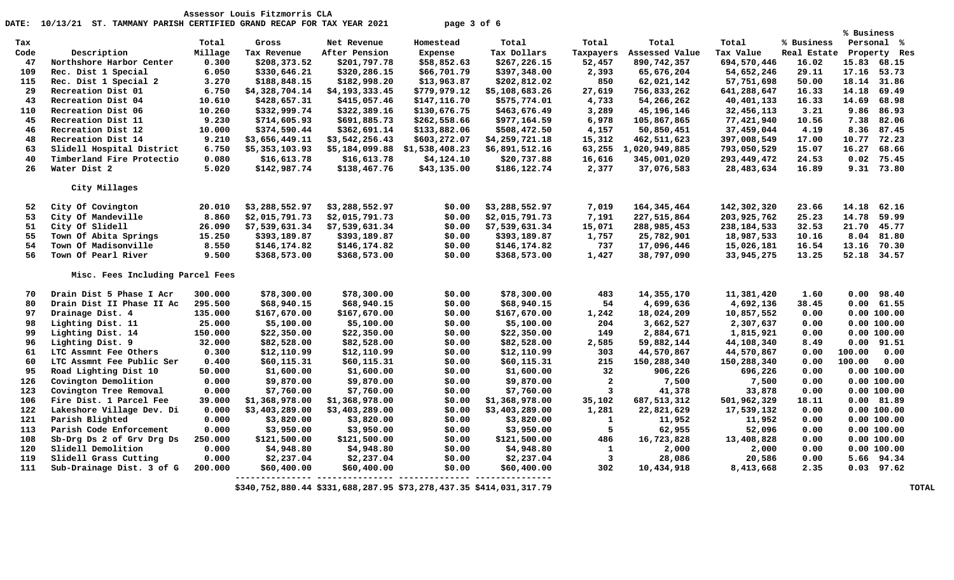|      |                                  |         |                |                |                |                |                         |                |               |             | % Business     |              |
|------|----------------------------------|---------|----------------|----------------|----------------|----------------|-------------------------|----------------|---------------|-------------|----------------|--------------|
| Tax  |                                  | Total   | Gross          | Net Revenue    | Homestead      | Total          | Total                   | Total          | Total         | % Business  | Personal %     |              |
| Code | Description                      | Millage | Tax Revenue    | After Pension  | Expense        | Tax Dollars    | Taxpayers               | Assessed Value | Tax Value     | Real Estate |                | Property Res |
| 47   | Northshore Harbor Center         | 0.300   | \$208,373.52   | \$201,797.78   | \$58,852.63    | \$267,226.15   | 52,457                  | 890,742,357    | 694,570,446   | 16.02       | 15.83          | 68.15        |
| 109  | Rec. Dist 1 Special              | 6.050   | \$330,646.21   | \$320,286.15   | \$66,701.79    | \$397,348.00   | 2,393                   | 65,676,204     | 54,652,246    | 29.11       | 17.16 53.73    |              |
| 115  | Rec. Dist 1 Special 2            | 3.270   | \$188,848.15   | \$182,998.20   | \$13,963.87    | \$202,812.02   | 850                     | 62,021,142     | 57,751,698    | 50.00       | 18.14 31.86    |              |
| 29   | Recreation Dist 01               | 6.750   | \$4,328,704.14 | \$4,193,333.45 | \$779,979.12   | \$5,108,683.26 | 27,619                  | 756,833,262    | 641,288,647   | 16.33       | 14.18          | 69.49        |
| 43   | Recreation Dist 04               | 10.610  | \$428,657.31   | \$415,057.46   | \$147,116.70   | \$575,774.01   | 4,733                   | 54,266,262     | 40,401,133    | 16.33       | 14.69          | 68.98        |
| 110  | Recreation Dist 06               | 10.260  | \$332,999.74   | \$322,389.16   | \$130,676.75   | \$463,676.49   | 3,289                   | 45, 196, 146   | 32,456,113    | 3.21        | 9.86           | 86.93        |
| 45   | Recreation Dist 11               | 9.230   | \$714,605.93   | \$691,885.73   | \$262,558.66   | \$977,164.59   | 6,978                   | 105,867,865    | 77,421,940    | 10.56       | 7.38           | 82.06        |
| 46   | Recreation Dist 12               | 10.000  | \$374,590.44   | \$362,691.14   | \$133,882.06   | \$508,472.50   | 4,157                   | 50,850,451     | 37,459,044    | 4.19        | 8.36           | 87.45        |
| 48   | Recreation Dist 14               | 9.210   | \$3,656,449.11 | \$3,542,256.43 | \$603,272.07   | \$4,259,721.18 | 15,312                  | 462, 511, 623  | 397,008,549   | 17.00       | 10.77          | 72.23        |
| 63   | Slidell Hospital District        | 6.750   | \$5,353,103.93 | \$5,184,099.88 | \$1,538,408.23 | \$6,891,512.16 | 63,255                  | 1,020,949,885  | 793,050,529   | 15.07       | 16.27          | 68.66        |
| 40   | Timberland Fire Protectio        | 0.080   | \$16,613.78    | \$16,613.78    | \$4,124.10     | \$20,737.88    | 16,616                  | 345,001,020    | 293,449,472   | 24.53       | 0.02           | 75.45        |
| 26   | Water Dist 2                     | 5.020   | \$142,987.74   | \$138,467.76   | \$43,135.00    | \$186,122.74   | 2,377                   | 37,076,583     | 28,483,634    | 16.89       | 9.31 73.80     |              |
|      | City Millages                    |         |                |                |                |                |                         |                |               |             |                |              |
|      |                                  |         |                |                |                |                |                         |                |               |             |                |              |
| 52   | City Of Covington                | 20.010  | \$3,288,552.97 | \$3,288,552.97 | \$0.00         | \$3,288,552.97 | 7,019                   | 164, 345, 464  | 142,302,320   | 23.66       | 14.18          | 62.16        |
| 53   | City Of Mandeville               | 8.860   | \$2,015,791.73 | \$2,015,791.73 | \$0.00         | \$2,015,791.73 | 7,191                   | 227,515,864    | 203, 925, 762 | 25.23       | 14.78          | 59.99        |
| 51   | City Of Slidell                  | 26.090  | \$7,539,631.34 | \$7,539,631.34 | \$0.00         | \$7,539,631.34 | 15,071                  | 288,985,453    | 238,184,533   | 32.53       | 21.70          | 45.77        |
| 55   | Town Of Abita Springs            | 15.250  | \$393,189.87   | \$393,189.87   | \$0.00         | \$393,189.87   | 1,757                   | 25,782,901     | 18,987,533    | 10.16       | 8.04 81.80     |              |
| 54   | Town Of Madisonville             | 8.550   | \$146,174.82   | \$146,174.82   | \$0.00         | \$146,174.82   | 737                     | 17,096,446     | 15,026,181    | 16.54       | 13.16 70.30    |              |
| 56   | Town Of Pearl River              | 9.500   | \$368,573.00   | \$368,573.00   | \$0.00         | \$368,573.00   | 1,427                   | 38,797,090     | 33,945,275    | 13.25       | 52.18          | 34.57        |
|      | Misc. Fees Including Parcel Fees |         |                |                |                |                |                         |                |               |             |                |              |
|      |                                  |         |                |                |                |                |                         |                |               |             |                |              |
| 70   | Drain Dist 5 Phase I Acr         | 300,000 | \$78,300.00    | \$78,300.00    | \$0.00         | \$78,300.00    | 483                     | 14, 355, 170   | 11,381,420    | 1.60        | 0.00           | 98.40        |
| 80   | Drain Dist II Phase II Ac        | 295.500 | \$68,940.15    | \$68,940.15    | \$0.00         | \$68,940.15    | 54                      | 4,699,636      | 4,692,136     | 38.45       | 0.00 61.55     |              |
| 97   | Drainage Dist. 4                 | 135.000 | \$167,670.00   | \$167,670.00   | \$0.00         | \$167,670.00   | 1,242                   | 18,024,209     | 10,857,552    | 0.00        | 0.00 100.00    |              |
| 98   | Lighting Dist. 11                | 25.000  | \$5,100.00     | \$5,100.00     | \$0.00         | \$5,100.00     | 204                     | 3,662,527      | 2,307,637     | 0.00        | 0.00 100.00    |              |
| 99   | Lighting Dist. 14                | 150.000 | \$22,350.00    | \$22,350.00    | \$0.00         | \$22,350.00    | 149                     | 2,884,671      | 1,815,921     | 0.00        | 0.00 100.00    |              |
| 96   | Lighting Dist. 9                 | 32.000  | \$82,528.00    | \$82,528.00    | \$0.00         | \$82,528.00    | 2,585                   | 59,882,144     | 44,108,340    | 8.49        | $0.00$ $91.51$ |              |
| 61   | LTC Assmnt Fee Others            | 0.300   | \$12,110.99    | \$12,110.99    | \$0.00         | \$12,110.99    | 303                     | 44,570,867     | 44,570,867    | 0.00        | 100.00         | 0.00         |
| 60   | LTC Assmnt Fee Public Ser        | 0.400   | \$60,115.31    | \$60,115.31    | \$0.00         | \$60,115.31    | 215                     | 150,288,340    | 150,288,340   | 0.00        | 100.00         | 0.00         |
| 95   | Road Lighting Dist 10            | 50.000  | \$1,600.00     | \$1,600.00     | \$0.00         | \$1,600.00     | 32                      | 906,226        | 696,226       | 0.00        | 0.00 100.00    |              |
| 126  | Covington Demolition             | 0.000   | \$9,870.00     | \$9,870.00     | \$0.00         | \$9,870.00     | $\overline{a}$          | 7,500          | 7,500         | 0.00        | 0.00 100.00    |              |
| 123  | Covington Tree Removal           | 0.000   | \$7,760.00     | \$7,760.00     | \$0.00         | \$7,760.00     | $\overline{\mathbf{3}}$ | 41,378         | 33,878        | 0.00        | 0.00 100.00    |              |
| 106  | Fire Dist. 1 Parcel Fee          | 39.000  | \$1,368,978.00 | \$1,368,978.00 | \$0.00         | \$1,368,978.00 | 35,102                  | 687, 513, 312  | 501,962,329   | 18.11       | 0.00 81.89     |              |
| 122  | Lakeshore Village Dev. Di        | 0.000   | \$3,403,289.00 | \$3,403,289.00 | \$0.00         | \$3,403,289.00 | 1,281                   | 22,821,629     | 17,539,132    | 0.00        | 0.00 100.00    |              |
| 121  | Parish Blighted                  | 0.000   | \$3,820.00     | \$3,820.00     | \$0.00         | \$3,820.00     | $\mathbf{1}$            | 11,952         | 11,952        | 0.00        | 0.00 100.00    |              |
| 113  | Parish Code Enforcement          | 0.000   | \$3,950.00     | \$3,950.00     | \$0.00         | \$3,950.00     | 5                       | 62,955         | 52,096        | 0.00        | 0.00 100.00    |              |
| 108  | Sb-Drg Ds 2 of Grv Drg Ds        | 250.000 | \$121,500.00   | \$121,500.00   | \$0.00         | \$121,500.00   | 486                     | 16,723,828     | 13,408,828    | 0.00        | 0.00 100.00    |              |
| 120  | Slidell Demolition               | 0.000   | \$4,948.80     | \$4,948.80     | \$0.00         | \$4,948.80     | $\mathbf{1}$            | 2,000          | 2,000         | 0.00        | 0.00 100.00    |              |
| 119  | Slidell Grass Cutting            | 0.000   | \$2,237.04     | \$2,237.04     | \$0.00         | \$2,237.04     | $\overline{\mathbf{3}}$ | 28,086         | 20,586        | 0.00        | 5.66 94.34     |              |
| 111  | Sub-Drainage Dist. 3 of G        | 200.000 | \$60,400.00    | \$60,400.00    | \$0.00         | \$60,400.00    | 302                     | 10,434,918     | 8,413,668     | 2.35        | $0.03$ 97.62   |              |

 **\$340,752,880.44 \$331,688,287.95 \$73,278,437.35 \$414,031,317.79 TOTAL**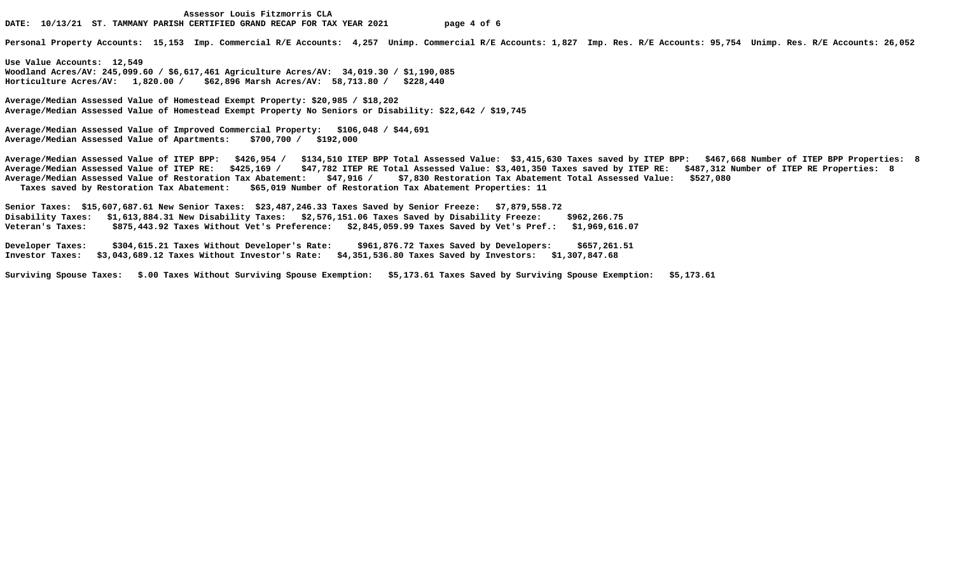**Personal Property Accounts: 15,153 Imp. Commercial R/E Accounts: 4,257 Unimp. Commercial R/E Accounts: 1,827 Imp. Res. R/E Accounts: 95,754 Unimp. Res. R/E Accounts: 26,052** 

**Use Value Accounts: 12,549 Woodland Acres/AV: 245,099.60 / \$6,617,461 Agriculture Acres/AV: 34,019.30 / \$1,190,085 Horticulture Acres/AV: 1,820.00 / \$62,896 Marsh Acres/AV: 58,713.80 / \$228,440** 

**Average/Median Assessed Value of Homestead Exempt Property: \$20,985 / \$18,202 Average/Median Assessed Value of Homestead Exempt Property No Seniors or Disability: \$22,642 / \$19,745** 

**Average/Median Assessed Value of Improved Commercial Property: \$106,048 / \$44,691 Average/Median Assessed Value of Apartments: \$700,700 / \$192,000** 

**Average/Median Assessed Value of ITEP BPP: \$426,954 / \$134,510 ITEP BPP Total Assessed Value: \$3,415,630 Taxes saved by ITEP BPP: \$467,668 Number of ITEP BPP Properties: 8 Average/Median Assessed Value of ITEP RE: \$425,169 / \$47,782 ITEP RE Total Assessed Value: \$3,401,350 Taxes saved by ITEP RE: \$487,312 Number of ITEP RE Properties: 8 Average/Median Assessed Value of Restoration Tax Abatement: \$47,916 / \$7,830 Restoration Tax Abatement Total Assessed Value: \$527,080 Taxes saved by Restoration Tax Abatement: \$65,019 Number of Restoration Tax Abatement Properties: 11** 

**Senior Taxes: \$15,607,687.61 New Senior Taxes: \$23,487,246.33 Taxes Saved by Senior Freeze: \$7,879,558.72 Disability Taxes: \$1,613,884.31 New Disability Taxes: \$2,576,151.06 Taxes Saved by Disability Freeze: \$962,266.75 Veteran's Taxes: \$875,443.92 Taxes Without Vet's Preference: \$2,845,059.99 Taxes Saved by Vet's Pref.: \$1,969,616.07** 

**Developer Taxes: \$304,615.21 Taxes Without Developer's Rate: \$961,876.72 Taxes Saved by Developers: \$657,261.51 Investor Taxes: \$3,043,689.12 Taxes Without Investor's Rate: \$4,351,536.80 Taxes Saved by Investors: \$1,307,847.68** 

**Surviving Spouse Taxes: \$.00 Taxes Without Surviving Spouse Exemption: \$5,173.61 Taxes Saved by Surviving Spouse Exemption: \$5,173.61**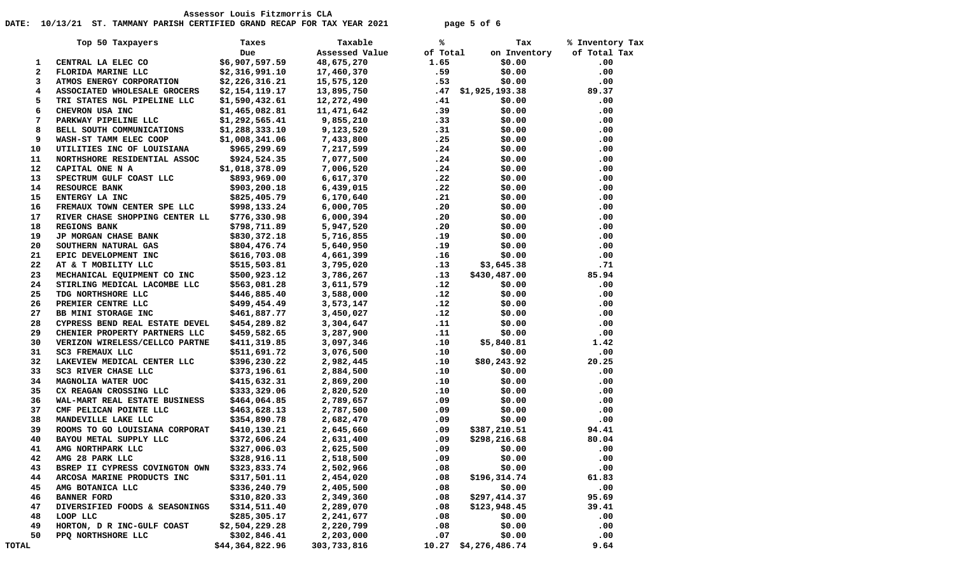## DATE: 10/13/21 ST. TAMMANY PARISH CERTIFIED GRAND RECAP FOR TAX YEAR 2021 **page 5 of 6**

|              | Top 50 Taxpayers               | Taxes           | Taxable                                            | ℁    | Tax                  | % Inventory Tax |
|--------------|--------------------------------|-----------------|----------------------------------------------------|------|----------------------|-----------------|
|              |                                | Due             | Assessed Value of Total                            |      | on Inventory         | of Total Tax    |
| 1            | CENTRAL LA ELEC CO             | \$6,907,597.59  | 48,675,270                                         | 1.65 | \$0.00               | .00             |
| $\mathbf{2}$ | FLORIDA MARINE LLC             | \$2,316,991.10  | 17,460,370                                         | .59  | \$0.00               | .00             |
| 3            | ATMOS ENERGY CORPORATION       | \$2,226,316.21  | 15, 575, 120                                       |      | \$0.00<br>.53        | .00             |
| 4            | ASSOCIATED WHOLESALE GROCERS   | \$2,154,119.17  |                                                    |      | $.47$ \$1,925,193.38 | 89.37           |
| 5            | TRI STATES NGL PIPELINE LLC    | \$1,590,432.61  | 13,895,750<br>12,272,490                           | .41  | \$0.00               | $.00 \,$        |
| 6            | CHEVRON USA INC                | \$1,465,082.81  | 11,471,642                                         | .39  | \$0.00               | .00             |
| 7            | PARKWAY PIPELINE LLC           |                 |                                                    | .33  | \$0.00               | .00             |
| 8            | BELL SOUTH COMMUNICATIONS      |                 | $$1,292,565.41$<br>$$1,288,333.10$<br>$$9,123,520$ | .31  | \$0.00               | .00             |
| 9            | WASH-ST TAMM ELEC COOP         | \$1,008,341.06  | 7,433,800                                          | .25  | \$0.00               | .00             |
| 10           | UTILITIES INC OF LOUISIANA     |                 |                                                    | .24  | \$0.00               | .00             |
| 11           | NORTHSHORE RESIDENTIAL ASSOC   |                 |                                                    | .24  | \$0.00               | .00             |
| 12           | CAPITAL ONE N A                |                 | \$1,018,378.09 7,006,520                           |      | .24<br>\$0.00        | .00             |
| 13           | SPECTRUM GULF COAST LLC        | \$893,969.00    |                                                    | .22  | \$0.00               | .00             |
| 14           | <b>RESOURCE BANK</b>           | \$903,200.18    | 6,617,370<br>6,439,015                             | .22  | \$0.00               | .00             |
| 15           | ENTERGY LA INC                 |                 | $$825,405.79$ 6,170,640                            | .21  | \$0.00               | .00             |
| 16           | FREMAUX TOWN CENTER SPE LLC    |                 |                                                    | .20  | \$0.00               | .00             |
| 17           | RIVER CHASE SHOPPING CENTER LL |                 |                                                    | .20  | \$0.00               | .00             |
| 18           | <b>REGIONS BANK</b>            |                 |                                                    |      | .20<br>\$0.00        | .00             |
| 19           | JP MORGAN CHASE BANK           | \$830,372.18    | 5,716,855                                          |      | .19<br>\$0.00        | .00             |
| 20           |                                |                 |                                                    | .19  | \$0.00               | .00             |
| 21           | SOUTHERN NATURAL GAS           |                 | \$804,476.74 5,640,950<br>\$616,703.08 4,661,399   | .16  | \$0.00               | .00             |
| 22           | EPIC DEVELOPMENT INC           |                 | 3,795,020                                          |      | \$3,645.38           |                 |
|              | AT & T MOBILITY LLC            | \$515,503.81    |                                                    | .13  |                      | .71             |
| 23           | MECHANICAL EQUIPMENT CO INC    |                 |                                                    | .13  | \$430,487.00         | 85.94           |
| 24           | STIRLING MEDICAL LACOMBE LLC   |                 | \$446,885.40 3,588,000                             | .12  | \$0.00               | .00             |
| 25           | TDG NORTHSHORE LLC             |                 |                                                    | .12  | \$0.00               | .00             |
| 26           | PREMIER CENTRE LLC             |                 | $$499,454.49$ 3,573,147                            | .12  | \$0.00               | .00             |
| 27           | BB MINI STORAGE INC            |                 |                                                    | .12  | \$0.00               | .00             |
| 28           | CYPRESS BEND REAL ESTATE DEVEL |                 |                                                    | .11  | \$0.00               | .00             |
| 29           | CHENIER PROPERTY PARTNERS LLC  | \$459,582.65    | 3,287,900                                          | .11  | \$0.00               | .00             |
| 30           | VERIZON WIRELESS/CELLCO PARTNE |                 | \$411,319.85 3,097,346<br>\$511,691.72 3,076,500   | .10  | \$5,840.81           | 1.42            |
| 31           | SC3 FREMAUX LLC                |                 |                                                    | .10  | \$0.00               | .00             |
| 32           | LAKEVIEW MEDICAL CENTER LLC    | \$396,230.22    | 2,982,445                                          | .10  | \$80,243.92          | 20.25           |
| 33           | SC3 RIVER CHASE LLC            | \$373,196.61    | 2,884,500<br>2,869,200                             | .10  | \$0.00               | .00             |
| 34           | MAGNOLIA WATER UOC             | \$415,632.31    | 2,869,200                                          | .10  | \$0.00               | .00             |
| 35           | CX REAGAN CROSSING LLC         | \$333,329.06    | 2,820,520                                          | .10  | \$0.00               | .00             |
| 36           | WAL-MART REAL ESTATE BUSINESS  | \$464,064.85    | 2,789,657                                          | .09  | \$0.00               | .00             |
| 37           | CMF PELICAN POINTE LLC         |                 | \$463,628.13 2,787,500<br>\$354,890.78 2,682,470   | .09  | \$0.00               | .00             |
| 38           | MANDEVILLE LAKE LLC            |                 |                                                    | .09  | \$0.00               | .00             |
| 39           | ROOMS TO GO LOUISIANA CORPORAT | \$410,130.21    | 2,645,660                                          | .09  | \$387,210.51         | 94.41           |
| 40           | BAYOU METAL SUPPLY LLC         | \$372,606.24    | 2,631,400<br>2,625,500                             | .09  | \$298,216.68         | 80.04           |
| 41           | AMG NORTHPARK LLC              | \$327,006.03    |                                                    | .09  | \$0.00               | .00             |
| 42           | AMG 28 PARK LLC                | \$328,916.11    | 2,518,500                                          | .09  | \$0.00               | .00             |
| 43           | BSREP II CYPRESS COVINGTON OWN | \$323,833.74    | 2,502,966                                          | .08  | \$0.00               | .00             |
| 44           | ARCOSA MARINE PRODUCTS INC     | \$317,501.11    | 2,454,020                                          | .08  | \$196,314.74         | 61.83           |
| 45           | AMG BOTANICA LLC               | \$336, 240.79   | 2,405,500                                          | .08  | \$0.00               | .00             |
| 46           | <b>BANNER FORD</b>             | \$310,820.33    | 2,349,360                                          | .08  | \$297,414.37         | 95.69           |
| 47           | DIVERSIFIED FOODS & SEASONINGS | \$314,511.40    | 2,289,070                                          | .08  | \$123,948.45         | 39.41           |
| 48           | LOOP LLC                       | \$285,305.17    | 2,241,677                                          | .08  | \$0.00               | .00             |
| 49           | HORTON, D R INC-GULF COAST     | \$2,504,229.28  | 2,220,799                                          | .08  | \$0.00               | .00             |
| 50           | PPQ NORTHSHORE LLC             | \$302,846.41    | 2,203,000                                          | .07  | \$0.00               | .00             |
| TOTAL        |                                | \$44,364,822.96 | 303,733,816                                        |      | 10.27 \$4,276,486.74 | 9.64            |